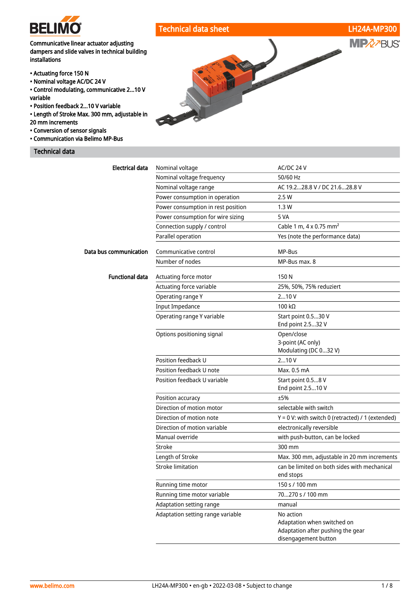

## Technical data sheet LH24A-MP300

## Communicative linear actuator adjusting dampers and slide valves in technical building installations

- Actuating force 150 N
- Nominal voltage AC/DC 24 V
- Control modulating, communicative 2...10 V variable
- Position feedback 2...10 V variable
- Length of Stroke Max. 300 mm, adjustable in
- 20 mm increments
- Conversion of sensor signals
- Communication via Belimo MP-Bus

## Technical data



| Electrical data        | Nominal voltage                    | AC/DC 24 V                                                                                            |
|------------------------|------------------------------------|-------------------------------------------------------------------------------------------------------|
|                        | Nominal voltage frequency          | 50/60 Hz                                                                                              |
|                        | Nominal voltage range              | AC 19.228.8 V / DC 21.628.8 V                                                                         |
|                        | Power consumption in operation     | 2.5W                                                                                                  |
|                        | Power consumption in rest position | 1.3W                                                                                                  |
|                        | Power consumption for wire sizing  | 5 VA                                                                                                  |
|                        | Connection supply / control        | Cable 1 m, 4 x 0.75 mm <sup>2</sup>                                                                   |
|                        | Parallel operation                 | Yes (note the performance data)                                                                       |
| Data bus communication | Communicative control              | MP-Bus                                                                                                |
|                        | Number of nodes                    | MP-Bus max. 8                                                                                         |
| <b>Functional data</b> | Actuating force motor              | 150N                                                                                                  |
|                        | Actuating force variable           | 25%, 50%, 75% reduziert                                                                               |
|                        | Operating range Y                  | 210V                                                                                                  |
|                        | <b>Input Impedance</b>             | $100 k\Omega$                                                                                         |
|                        | Operating range Y variable         | Start point 0.530 V                                                                                   |
|                        |                                    | End point 2.532 V                                                                                     |
|                        | Options positioning signal         | Open/close                                                                                            |
|                        |                                    | 3-point (AC only)<br>Modulating (DC 032 V)                                                            |
|                        | Position feedback U                | 210V                                                                                                  |
|                        | Position feedback U note           | Max. 0.5 mA                                                                                           |
|                        | Position feedback U variable       | Start point 0.58 V                                                                                    |
|                        |                                    | End point 2.510 V                                                                                     |
|                        | Position accuracy                  | ±5%                                                                                                   |
|                        | Direction of motion motor          | selectable with switch                                                                                |
|                        | Direction of motion note           | $Y = 0$ V: with switch 0 (retracted) / 1 (extended)                                                   |
|                        | Direction of motion variable       | electronically reversible                                                                             |
|                        | Manual override                    | with push-button, can be locked                                                                       |
|                        | Stroke                             | 300 mm                                                                                                |
|                        | Length of Stroke                   | Max. 300 mm, adjustable in 20 mm increments                                                           |
|                        | <b>Stroke limitation</b>           | can be limited on both sides with mechanical<br>end stops                                             |
|                        | Running time motor                 | 150 s / 100 mm                                                                                        |
|                        | Running time motor variable        | 70270 s / 100 mm                                                                                      |
|                        | Adaptation setting range           | manual                                                                                                |
|                        | Adaptation setting range variable  | No action<br>Adaptation when switched on<br>Adaptation after pushing the gear<br>disengagement button |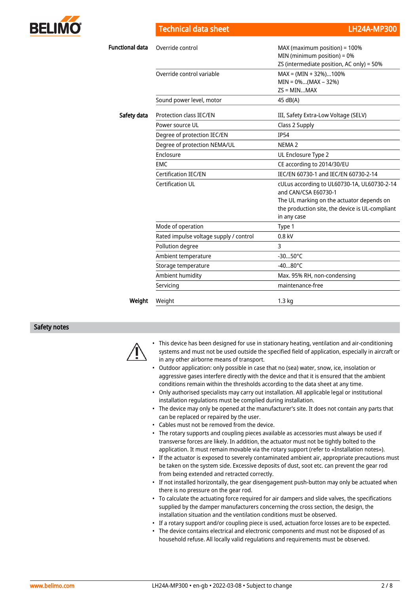

Technical data sheet LH24A-MP300

| <b>Functional data</b> | Override control                       | MAX (maximum position) = 100%<br>MIN (minimum position) = $0\%$<br>ZS (intermediate position, AC only) = 50% |
|------------------------|----------------------------------------|--------------------------------------------------------------------------------------------------------------|
|                        | Override control variable              | $MAX = (MIN + 32\%).100\%$<br>$MIN = 0$ %(MAX – 32%)<br>$ZS = MINMAX$                                        |
|                        | Sound power level, motor               | 45 dB(A)                                                                                                     |
| Safety data            | Protection class IEC/EN                | III, Safety Extra-Low Voltage (SELV)                                                                         |
|                        | Power source UL                        | Class 2 Supply                                                                                               |
|                        | Degree of protection IEC/EN            | <b>IP54</b>                                                                                                  |
|                        | Degree of protection NEMA/UL           | NEMA <sub>2</sub>                                                                                            |
|                        | Enclosure                              | UL Enclosure Type 2                                                                                          |
|                        | <b>EMC</b>                             | CE according to 2014/30/EU                                                                                   |
|                        | Certification IEC/EN                   | IEC/EN 60730-1 and IEC/EN 60730-2-14                                                                         |
|                        | Certification UL                       | cULus according to UL60730-1A, UL60730-2-14<br>and CAN/CSA E60730-1                                          |
|                        |                                        | The UL marking on the actuator depends on                                                                    |
|                        |                                        | the production site, the device is UL-compliant                                                              |
|                        |                                        | in any case                                                                                                  |
|                        | Mode of operation                      | Type 1                                                                                                       |
|                        | Rated impulse voltage supply / control | $0.8$ kV                                                                                                     |
|                        | Pollution degree                       | 3                                                                                                            |
|                        | Ambient temperature                    | $-3050^{\circ}$ C                                                                                            |
|                        | Storage temperature                    | $-4080^{\circ}$ C                                                                                            |
|                        | Ambient humidity                       | Max. 95% RH, non-condensing                                                                                  |
|                        | Servicing                              | maintenance-free                                                                                             |
| Weight                 | Weight                                 | 1.3 <sub>kq</sub>                                                                                            |

#### Safety notes



• This device has been designed for use in stationary heating, ventilation and air-conditioning systems and must not be used outside the specified field of application, especially in aircraft or in any other airborne means of transport.

- Outdoor application: only possible in case that no (sea) water, snow, ice, insolation or aggressive gases interfere directly with the device and that it is ensured that the ambient conditions remain within the thresholds according to the data sheet at any time.
- Only authorised specialists may carry out installation. All applicable legal or institutional installation regulations must be complied during installation.
- The device may only be opened at the manufacturer's site. It does not contain any parts that can be replaced or repaired by the user.
- Cables must not be removed from the device.
- The rotary supports and coupling pieces available as accessories must always be used if transverse forces are likely. In addition, the actuator must not be tightly bolted to the application. It must remain movable via the rotary support (refer to «Installation notes»).
- If the actuator is exposed to severely contaminated ambient air, appropriate precautions must be taken on the system side. Excessive deposits of dust, soot etc. can prevent the gear rod from being extended and retracted correctly.
- If not installed horizontally, the gear disengagement push-button may only be actuated when there is no pressure on the gear rod.
- To calculate the actuating force required for air dampers and slide valves, the specifications supplied by the damper manufacturers concerning the cross section, the design, the installation situation and the ventilation conditions must be observed.
- If a rotary support and/or coupling piece is used, actuation force losses are to be expected.
- The device contains electrical and electronic components and must not be disposed of as household refuse. All locally valid regulations and requirements must be observed.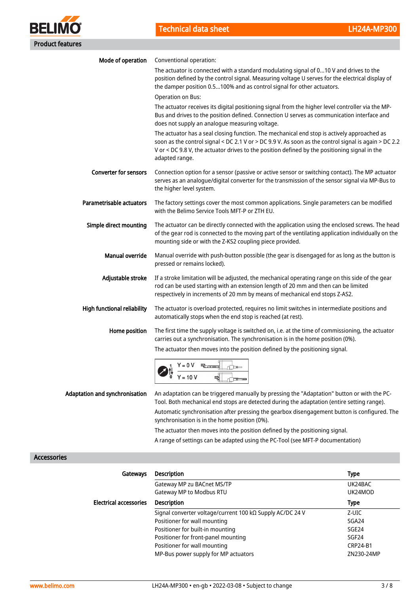

| Mode of operation                  | Conventional operation:                                                                                                                                                                                                                                                                                                |
|------------------------------------|------------------------------------------------------------------------------------------------------------------------------------------------------------------------------------------------------------------------------------------------------------------------------------------------------------------------|
|                                    | The actuator is connected with a standard modulating signal of 010 V and drives to the<br>position defined by the control signal. Measuring voltage U serves for the electrical display of<br>the damper position 0.5100% and as control signal for other actuators.                                                   |
|                                    | Operation on Bus:                                                                                                                                                                                                                                                                                                      |
|                                    | The actuator receives its digital positioning signal from the higher level controller via the MP-<br>Bus and drives to the position defined. Connection U serves as communication interface and<br>does not supply an analogue measuring voltage.                                                                      |
|                                    | The actuator has a seal closing function. The mechanical end stop is actively approached as<br>soon as the control signal < DC 2.1 V or > DC 9.9 V. As soon as the control signal is again > DC 2.2<br>V or < DC 9.8 V, the actuator drives to the position defined by the positioning signal in the<br>adapted range. |
| <b>Converter for sensors</b>       | Connection option for a sensor (passive or active sensor or switching contact). The MP actuator<br>serves as an analogue/digital converter for the transmission of the sensor signal via MP-Bus to<br>the higher level system.                                                                                         |
| Parametrisable actuators           | The factory settings cover the most common applications. Single parameters can be modified<br>with the Belimo Service Tools MFT-P or ZTH EU.                                                                                                                                                                           |
| Simple direct mounting             | The actuator can be directly connected with the application using the enclosed screws. The head<br>of the gear rod is connected to the moving part of the ventilating application individually on the<br>mounting side or with the Z-KS2 coupling piece provided.                                                      |
| <b>Manual override</b>             | Manual override with push-button possible (the gear is disengaged for as long as the button is<br>pressed or remains locked).                                                                                                                                                                                          |
| Adjustable stroke                  | If a stroke limitation will be adjusted, the mechanical operating range on this side of the gear<br>rod can be used starting with an extension length of 20 mm and then can be limited<br>respectively in increments of 20 mm by means of mechanical end stops Z-AS2.                                                  |
| <b>High functional reliability</b> | The actuator is overload protected, requires no limit switches in intermediate positions and<br>automatically stops when the end stop is reached (at rest).                                                                                                                                                            |
| Home position                      | The first time the supply voltage is switched on, i.e. at the time of commissioning, the actuator<br>carries out a synchronisation. The synchronisation is in the home position (0%).                                                                                                                                  |
|                                    | The actuator then moves into the position defined by the positioning signal.                                                                                                                                                                                                                                           |
|                                    | $Y = 0 V$                                                                                                                                                                                                                                                                                                              |
| Adaptation and synchronisation     | An adaptation can be triggered manually by pressing the "Adaptation" button or with the PC-<br>Tool. Both mechanical end stops are detected during the adaptation (entire setting range).                                                                                                                              |
|                                    | Automatic synchronisation after pressing the gearbox disengagement button is configured. The<br>synchronisation is in the home position (0%).                                                                                                                                                                          |

Accessories

| Gateways                      | <b>Description</b>                                                | <b>Type</b>       |
|-------------------------------|-------------------------------------------------------------------|-------------------|
|                               | Gateway MP zu BACnet MS/TP                                        | UK24BAC           |
|                               | Gateway MP to Modbus RTU                                          | UK24MOD           |
| <b>Electrical accessories</b> | <b>Description</b>                                                | Type              |
|                               | Signal converter voltage/current 100 k $\Omega$ Supply AC/DC 24 V | Z-UIC             |
|                               | Positioner for wall mounting                                      | SGA24             |
|                               | Positioner for built-in mounting                                  | SGE <sub>24</sub> |
|                               | Positioner for front-panel mounting                               | SGF <sub>24</sub> |
|                               | Positioner for wall mounting                                      | CRP24-B1          |
|                               | MP-Bus power supply for MP actuators                              | ZN230-24MP        |

The actuator then moves into the position defined by the positioning signal. A range of settings can be adapted using the PC-Tool (see MFT-P documentation)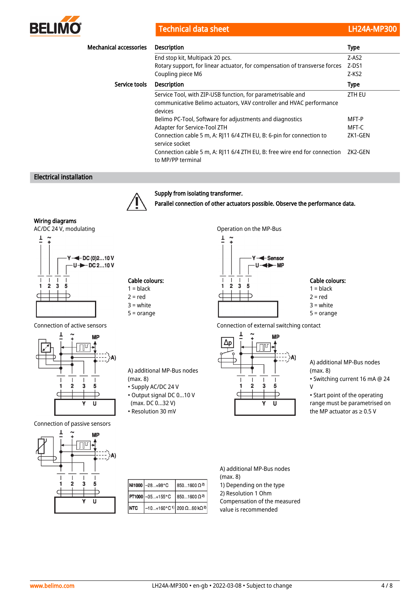

Technical data sheet LH24A-MP300

| <b>Mechanical accessories</b> | <b>Description</b>                                                                                                                            | <b>Type</b>   |
|-------------------------------|-----------------------------------------------------------------------------------------------------------------------------------------------|---------------|
|                               | End stop kit, Multipack 20 pcs.                                                                                                               | $Z-AS2$       |
|                               | Rotary support, for linear actuator, for compensation of transverse forces                                                                    | $Z$ -DS1      |
|                               | Coupling piece M6                                                                                                                             | Z-KS2         |
| Service tools                 | <b>Description</b>                                                                                                                            | <b>Type</b>   |
|                               | Service Tool, with ZIP-USB function, for parametrisable and<br>communicative Belimo actuators, VAV controller and HVAC performance<br>devices | <b>ZTH EU</b> |
|                               | Belimo PC-Tool, Software for adjustments and diagnostics                                                                                      | MFT-P         |
|                               | Adapter for Service-Tool ZTH                                                                                                                  | MFT-C         |
|                               | Connection cable 5 m, A: RJ11 6/4 ZTH EU, B: 6-pin for connection to<br>service socket                                                        | ZK1-GEN       |
|                               | Connection cable 5 m, A: RI11 6/4 ZTH EU, B: free wire end for connection<br>to MP/PP terminal                                                | ZK2-GEN       |

## Electrical installation



Supply from isolating transformer. Parallel connection of other actuators possible. Observe the performance data.

> $\perp$  $\sim$

Wiring diagrams

AC/DC 24 V, modulating and the MP-Bus operation on the MP-Bus





Connection of passive sensors



A) additional MP-Bus nodes (max. 8)

- Supply AC/DC 24 V
- Output signal DC 0...10 V
- (max. DC 0...32 V) • Resolution 30 mV
- Connection of active sensors Connection of external switching contact **MP**  $\Delta p$  $\overline{\text{min}}$ ۸Ì  $\overline{1}$  $\mathbf{I}$  $\overline{1}$  $\overline{\phantom{a}}$  $\overline{2}$  $\mathbf 3$ 5 h  $\mathbf{u}$

A) additional MP-Bus nodes (max. 8) • Switching current 16 mA @ 24 V

Cable colours:  $1 = **black**$  $2 = red$ 3 = white 5 = orange

• Start point of the operating range must be parametrised on the MP actuator as  $\geq 0.5$  V

|             | Ni1000 -28  +98°C                        | $18501600 \Omega^{2}$                                |
|-------------|------------------------------------------|------------------------------------------------------|
|             | PT1000 -35+155°C 8501600 Ω <sup>2)</sup> |                                                      |
| <b>INTC</b> |                                          | $-10+160°C$ <sup>1</sup> ) 200 Ω60 kΩ <sup>2</sup> ) |

A) additional MP-Bus nodes (max. 8) 1) Depending on the type 2) Resolution 1 Ohm Compensation of the measured value is recommended

 $\bigoplus$  DC (0)2...10 V  $\rightarrow$ DC 2...10 V



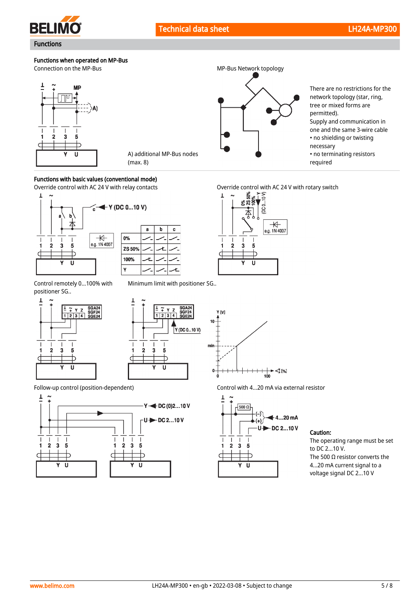

Functions

**BELIMO** 

## Functions when operated on MP-Bus

Connection on the MP-Bus MP-Bus MP-Bus Network topology



# A) additional MP-Bus nodes (max. 8)

## Functions with basic values (conventional mode)





Control remotely 0...100% with positioner SG..









There are no restrictions for the network topology (star, ring, tree or mixed forms are permitted). Supply and communication in one and the same 3-wire cable

- no shielding or twisting
- necessary
- no terminating resistors required







Follow-up control (position-dependent) Control with 4...20 mA via external resistor



Caution:

The operating range must be set to DC 2...10 V. The 500  $\Omega$  resistor converts the 4...20 mA current signal to a voltage signal DC 2...10 V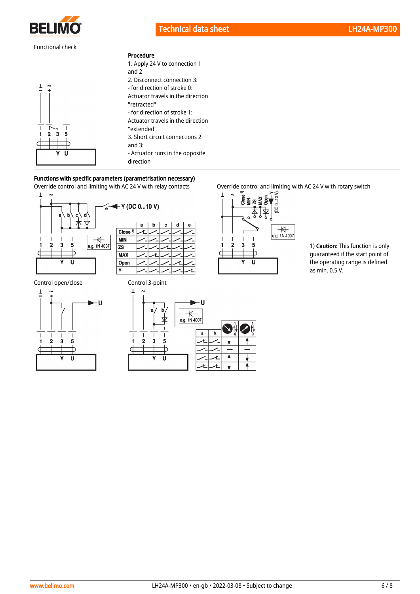

## Functional check

 $\frac{1}{5}$  $\bar{3}$ 

п

 $\overline{7}$  $\tilde{.}$ 

 $\overline{\phantom{a}}$ 



| 1. Apply 24 V to connection 1     |
|-----------------------------------|
| and 2                             |
| 2. Disconnect connection 3:       |
| - for direction of stroke 0:      |
| Actuator travels in the direction |
| "retracted"                       |
| - for direction of stroke 1:      |
| Actuator travels in the direction |
| "extended"                        |
| 3. Short circuit connections 2    |
| and $3$ :                         |
| - Actuator runs in the opposite   |
| direction                         |
|                                   |

## Functions with specific parameters (parametrisation necessary)









Override control and limiting with AC 24 V with relay contacts Override control and limiting with AC 24 V with rotary switch



1) Caution: This function is only guaranteed if the start point of the operating range is defined as min. 0.5 V.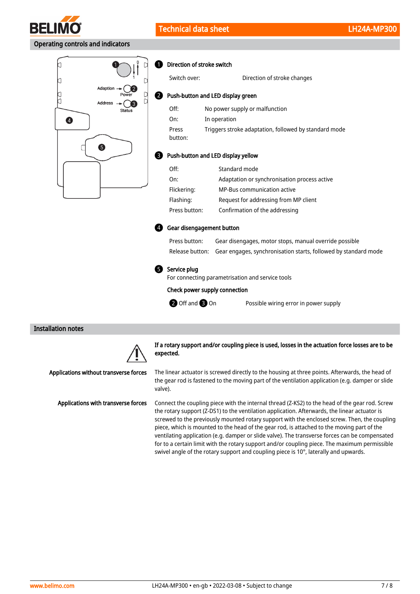

## Operating controls and indicators



#### Direction of stroke switch A

2

| Switch over:     | Direction of stroke changes                           |
|------------------|-------------------------------------------------------|
|                  | Push-button and LED display green                     |
| Off:             | No power supply or malfunction                        |
| On:              | In operation                                          |
| Press<br>button: | Triggers stroke adaptation, followed by standard mode |

#### **B** Push-button and LED display yellow

| Off:          | Standard mode                                |
|---------------|----------------------------------------------|
| On:           | Adaptation or synchronisation process active |
| Flickering:   | <b>MP-Bus communication active</b>           |
| Flashing:     | Request for addressing from MP client        |
| Press button: | Confirmation of the addressing               |

#### Gear disengagement button 4

| Press button: | Gear disengages, motor stops, manual override possible                          |
|---------------|---------------------------------------------------------------------------------|
|               | Release button: Gear engages, synchronisation starts, followed by standard mode |

## **5** Service plug

For connecting parametrisation and service tools

#### Check power supply connection

**2** Off and **3** On

Possible wiring error in power supply

#### Installation notes



If a rotary support and/or coupling piece is used, losses in the actuation force losses are to be expected.

The linear actuator is screwed directly to the housing at three points. Afterwards, the head of the gear rod is fastened to the moving part of the ventilation application (e.g. damper or slide valve).

Connect the coupling piece with the internal thread (Z-KS2) to the head of the gear rod. Screw the rotary support (Z-DS1) to the ventilation application. Afterwards, the linear actuator is screwed to the previously mounted rotary support with the enclosed screw. Then, the coupling piece, which is mounted to the head of the gear rod, is attached to the moving part of the ventilating application (e.g. damper or slide valve). The transverse forces can be compensated for to a certain limit with the rotary support and/or coupling piece. The maximum permissible swivel angle of the rotary support and coupling piece is 10°, laterally and upwards.

Applications without transverse forces

Applications with transverse forces